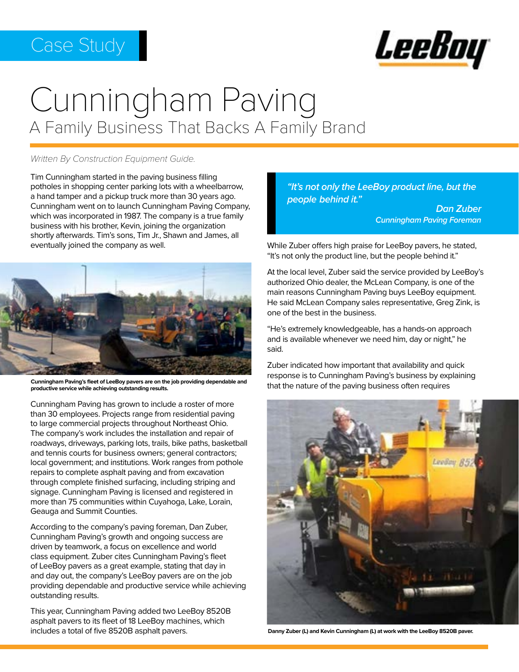## Case Study



# Cunningham Paving A Family Business That Backs A Family Brand

#### *Written By Construction Equipment Guide.*

Tim Cunningham started in the paving business filling potholes in shopping center parking lots with a wheelbarrow, a hand tamper and a pickup truck more than 30 years ago. Cunningham went on to launch Cunningham Paving Company, which was incorporated in 1987. The company is a true family business with his brother, Kevin, joining the organization shortly afterwards. Tim's sons, Tim Jr., Shawn and James, all eventually joined the company as well.



**Cunningham Paving's fleet of LeeBoy pavers are on the job providing dependable and productive service while achieving outstanding results.**

Cunningham Paving has grown to include a roster of more than 30 employees. Projects range from residential paving to large commercial projects throughout Northeast Ohio. The company's work includes the installation and repair of roadways, driveways, parking lots, trails, bike paths, basketball and tennis courts for business owners; general contractors; local government; and institutions. Work ranges from pothole repairs to complete asphalt paving and from excavation through complete finished surfacing, including striping and signage. Cunningham Paving is licensed and registered in more than 75 communities within Cuyahoga, Lake, Lorain, Geauga and Summit Counties.

According to the company's paving foreman, Dan Zuber, Cunningham Paving's growth and ongoing success are driven by teamwork, a focus on excellence and world class equipment. Zuber cites Cunningham Paving's fleet of LeeBoy pavers as a great example, stating that day in and day out, the company's LeeBoy pavers are on the job providing dependable and productive service while achieving outstanding results.

This year, Cunningham Paving added two LeeBoy 8520B asphalt pavers to its fleet of 18 LeeBoy machines, which includes a total of five 8520B asphalt pavers.

*"It's not only the LeeBoy product line, but the people behind it."* 

*Dan Zuber Cunningham Paving Foreman*

While Zuber offers high praise for LeeBoy pavers, he stated, "It's not only the product line, but the people behind it."

At the local level, Zuber said the service provided by LeeBoy's authorized Ohio dealer, the McLean Company, is one of the main reasons Cunningham Paving buys LeeBoy equipment. He said McLean Company sales representative, Greg Zink, is one of the best in the business.

"He's extremely knowledgeable, has a hands-on approach and is available whenever we need him, day or night," he said.

Zuber indicated how important that availability and quick response is to Cunningham Paving's business by explaining that the nature of the paving business often requires



**Danny Zuber (L) and Kevin Cunningham (L) at work with the LeeBoy 8520B paver.**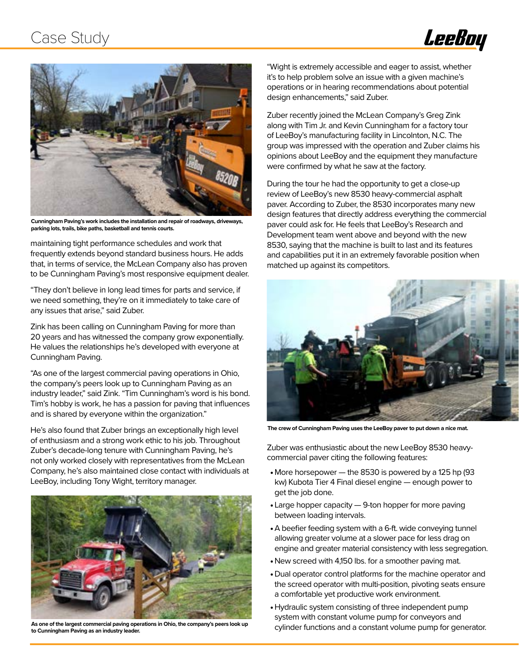### Case Study





**Cunningham Paving's work includes the installation and repair of roadways, driveways, parking lots, trails, bike paths, basketball and tennis courts.**

maintaining tight performance schedules and work that frequently extends beyond standard business hours. He adds that, in terms of service, the McLean Company also has proven to be Cunningham Paving's most responsive equipment dealer.

"They don't believe in long lead times for parts and service, if we need something, they're on it immediately to take care of any issues that arise," said Zuber.

Zink has been calling on Cunningham Paving for more than 20 years and has witnessed the company grow exponentially. He values the relationships he's developed with everyone at Cunningham Paving.

"As one of the largest commercial paving operations in Ohio, the company's peers look up to Cunningham Paving as an industry leader," said Zink. "Tim Cunningham's word is his bond. Tim's hobby is work, he has a passion for paving that influences and is shared by everyone within the organization."

He's also found that Zuber brings an exceptionally high level of enthusiasm and a strong work ethic to his job. Throughout Zuber's decade-long tenure with Cunningham Paving, he's not only worked closely with representatives from the McLean Company, he's also maintained close contact with individuals at LeeBoy, including Tony Wight, territory manager.



**As one of the largest commercial paving operations in Ohio, the company's peers look up to Cunningham Paving as an industry leader.** 

"Wight is extremely accessible and eager to assist, whether it's to help problem solve an issue with a given machine's operations or in hearing recommendations about potential design enhancements," said Zuber.

Zuber recently joined the McLean Company's Greg Zink along with Tim Jr. and Kevin Cunningham for a factory tour of LeeBoy's manufacturing facility in Lincolnton, N.C. The group was impressed with the operation and Zuber claims his opinions about LeeBoy and the equipment they manufacture were confirmed by what he saw at the factory.

During the tour he had the opportunity to get a close-up review of LeeBoy's new 8530 heavy-commercial asphalt paver. According to Zuber, the 8530 incorporates many new design features that directly address everything the commercial paver could ask for. He feels that LeeBoy's Research and Development team went above and beyond with the new 8530, saying that the machine is built to last and its features and capabilities put it in an extremely favorable position when matched up against its competitors.



**The crew of Cunningham Paving uses the LeeBoy paver to put down a nice mat.**

Zuber was enthusiastic about the new LeeBoy 8530 heavycommercial paver citing the following features:

- More horsepower the 8530 is powered by a 125 hp (93 kw) Kubota Tier 4 Final diesel engine — enough power to get the job done.
- Large hopper capacity 9-ton hopper for more paving between loading intervals.
- •A beefier feeding system with a 6-ft. wide conveying tunnel allowing greater volume at a slower pace for less drag on engine and greater material consistency with less segregation.
- New screed with 4,150 lbs. for a smoother paving mat.
- Dual operator control platforms for the machine operator and the screed operator with multi-position, pivoting seats ensure a comfortable yet productive work environment.
- •Hydraulic system consisting of three independent pump system with constant volume pump for conveyors and cylinder functions and a constant volume pump for generator.